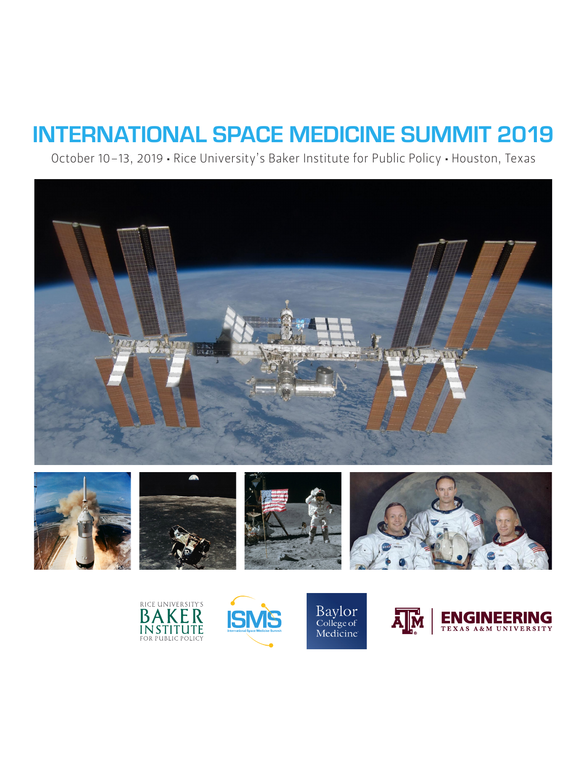October 10–13, 2019 • Rice University's Baker Institute for Public Policy • Houston, Texas





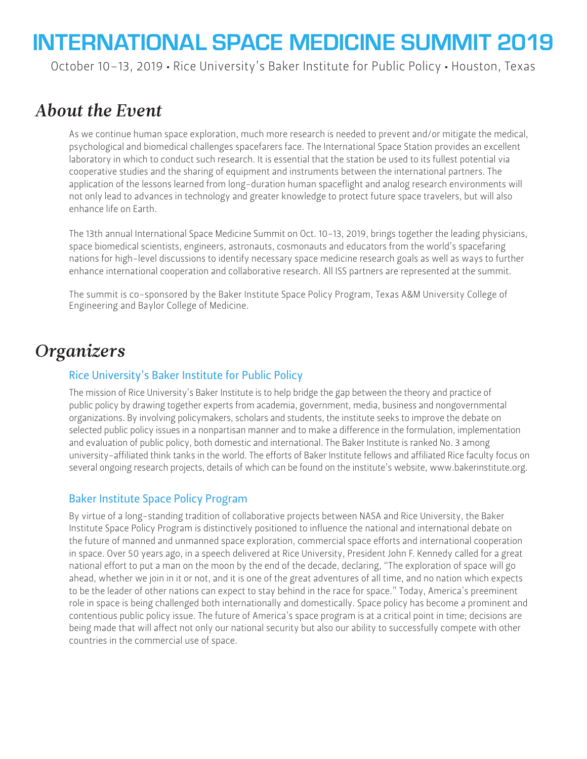October 10–13, 2019 • Rice University's Baker Institute for Public Policy • Houston, Texas

# *About the Event*

As we continue human space exploration, much more research is needed to prevent and/or mitigate the medical, psychological and biomedical challenges spacefarers face. The International Space Station provides an excellent laboratory in which to conduct such research. It is essential that the station be used to its fullest potential via cooperative studies and the sharing of equipment and instruments between the international partners. The application of the lessons learned from long-duration human spaceflight and analog research environments will not only lead to advances in technology and greater knowledge to protect future space travelers, but will also enhance life on Earth.

The 13th annual International Space Medicine Summit on Oct. 10-13, 2019, brings together the leading physicians, space biomedical scientists, engineers, astronauts, cosmonauts and educators from the world's spacefaring nations for high-level discussions to identify necessary space medicine research goals as well as ways to further enhance international cooperation and collaborative research. All ISS partners are represented at the summit.

The summit is co-sponsored by the Baker Institute Space Policy Program, Texas A&M University College of Engineering and Baylor College of Medicine.

# *Organizers*

# Rice University's Baker Institute for Public Policy

The mission of Rice University's Baker Institute is to help bridge the gap between the theory and practice of public policy by drawing together experts from academia, government, media, business and nongovernmental organizations. By involving policymakers, scholars and students, the institute seeks to improve the debate on selected public policy issues in a nonpartisan manner and to make a difference in the formulation, implementation and evaluation of public policy, both domestic and international. The Baker Institute is ranked No. 3 among university-affiliated think tanks in the world. The efforts of Baker Institute fellows and affiliated Rice faculty focus on several ongoing research projects, details of which can be found on the institute's website, www.bakerinstitute.org.

### Baker Institute Space Policy Program

By virtue of a long-standing tradition of collaborative projects between NASA and Rice University, the Baker Institute Space Policy Program is distinctively positioned to influence the national and international debate on the future of manned and unmanned space exploration, commercial space efforts and international cooperation in space. Over 50 years ago, in a speech delivered at Rice University, President John F. Kennedy called for a great national effort to put a man on the moon by the end of the decade, declaring, "The exploration of space will go ahead, whether we join in it or not, and it is one of the great adventures of all time, and no nation which expects to be the leader of other nations can expect to stay behind in the race for space." Today, America's preeminent role in space is being challenged both internationally and domestically. Space policy has become a prominent and contentious public policy issue. The future of America's space program is at a critical point in time; decisions are being made that will affect not only our national security but also our ability to successfully compete with other countries in the commercial use of space.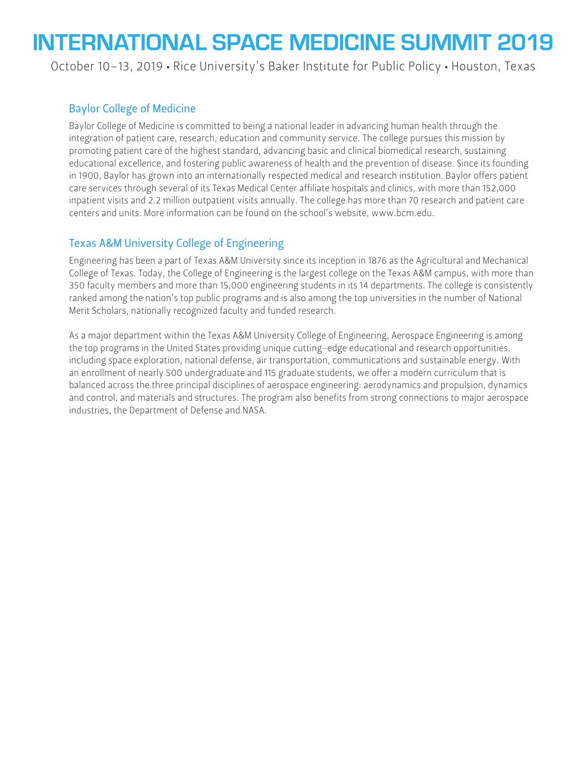October 10–13, 2019 • Rice University's Baker Institute for Public Policy • Houston, Texas

## Baylor College of Medicine

Baylor College of Medicine is committed to being a national leader in advancing human health through the integration of patient care, research, education and community service. The college pursues this mission by promoting patient care of the highest standard, advancing basic and clinical biomedical research, sustaining educational excellence, and fostering public awareness of health and the prevention of disease. Since its founding in 1900, Baylor has grown into an internationally respected medical and research institution. Baylor offers patient care services through several of its Texas Medical Center affiliate hospitals and clinics, with more than 152,000 inpatient visits and 2.2 million outpatient visits annually. The college has more than 70 research and patient care centers and units. More information can be found on the school's website, www.bcm.edu.

## Texas A&M University College of Engineering

Engineering has been a part of Texas A&M University since its inception in 1876 as the Agricultural and Mechanical College of Texas. Today, the College of Engineering is the largest college on the Texas A&M campus, with more than 350 faculty members and more than 15,000 engineering students in its 14 departments. The college is consistently ranked among the nation's top public programs and is also among the top universities in the number of National Merit Scholars, nationally recognized faculty and funded research.

As a major department within the Texas A&M University College of Engineering, Aerospace Engineering is among the top programs in the United States providing unique cutting-edge educational and research opportunities, including space exploration, national defense, air transportation, communications and sustainable energy. With an enrollment of nearly 500 undergraduate and 115 graduate students, we offer a modern curriculum that is balanced across the three principal disciplines of aerospace engineering: aerodynamics and propulsion, dynamics and control, and materials and structures. The program also benefits from strong connections to major aerospace industries, the Department of Defense and NASA.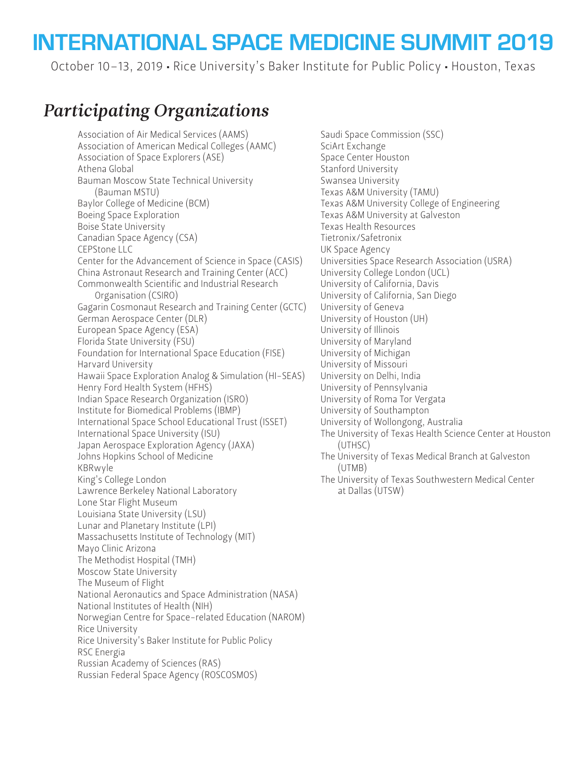October 10–13, 2019 • Rice University's Baker Institute for Public Policy • Houston, Texas

# *Participating Organizations*

Association of Air Medical Services (AAMS) Association of American Medical Colleges (AAMC) Association of Space Explorers (ASE) Athena Global Bauman Moscow State Technical University (Bauman MSTU) Baylor College of Medicine (BCM) Boeing Space Exploration Boise State University Canadian Space Agency (CSA) CEPStone LLC Center for the Advancement of Science in Space (CASIS) China Astronaut Research and Training Center (ACC) Commonwealth Scientific and Industrial Research Organisation (CSIRO) Gagarin Cosmonaut Research and Training Center (GCTC) German Aerospace Center (DLR) European Space Agency (ESA) Florida State University (FSU) Foundation for International Space Education (FISE) Harvard University Hawaii Space Exploration Analog & Simulation (HI-SEAS) Henry Ford Health System (HFHS) Indian Space Research Organization (ISRO) Institute for Biomedical Problems (IBMP) International Space School Educational Trust (ISSET) International Space University (ISU) Japan Aerospace Exploration Agency (JAXA) Johns Hopkins School of Medicine KBRwyle King's College London Lawrence Berkeley National Laboratory Lone Star Flight Museum Louisiana State University (LSU) Lunar and Planetary Institute (LPI) Massachusetts Institute of Technology (MIT) Mayo Clinic Arizona The Methodist Hospital (TMH) Moscow State University The Museum of Flight National Aeronautics and Space Administration (NASA) National Institutes of Health (NIH) Norwegian Centre for Space-related Education (NAROM) Rice University Rice University's Baker Institute for Public Policy RSC Energia Russian Academy of Sciences (RAS) Russian Federal Space Agency (ROSCOSMOS)

Saudi Space Commission (SSC) SciArt Exchange Space Center Houston Stanford University Swansea University Texas A&M University (TAMU) Texas A&M University College of Engineering Texas A&M University at Galveston Texas Health Resources Tietronix/Safetronix UK Space Agency Universities Space Research Association (USRA) University College London (UCL) University of California, Davis University of California, San Diego University of Geneva University of Houston (UH) University of Illinois University of Maryland University of Michigan University of Missouri University on Delhi, India University of Pennsylvania University of Roma Tor Vergata University of Southampton University of Wollongong, Australia The University of Texas Health Science Center at Houston (UTHSC) The University of Texas Medical Branch at Galveston (UTMB)

The University of Texas Southwestern Medical Center at Dallas (UTSW)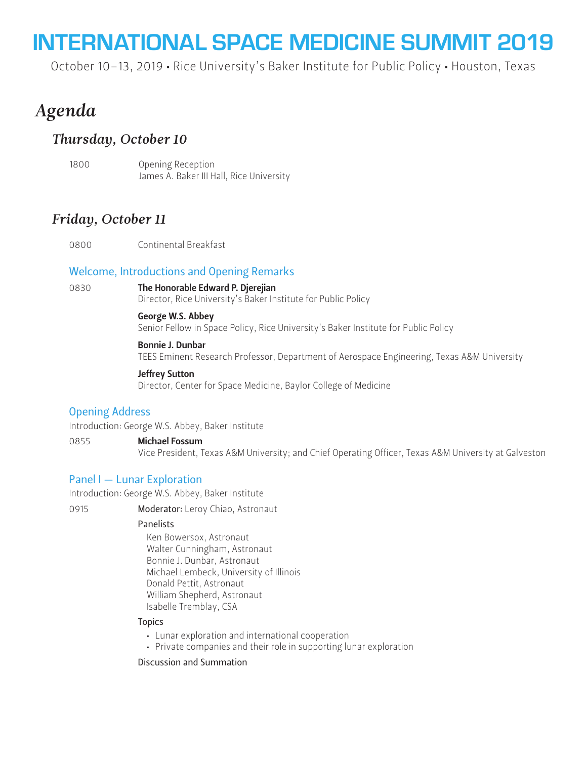October 10–13, 2019 • Rice University's Baker Institute for Public Policy • Houston, Texas

# *Agenda*

# *Thursday, October 10*

1800 Opening Reception James A. Baker III Hall, Rice University

# *Friday, October 11*

0800 Continental Breakfast

### Welcome, Introductions and Opening Remarks

### 0830 The Honorable Edward P. Djerejian

Director, Rice University's Baker Institute for Public Policy

### George W.S. Abbey

Senior Fellow in Space Policy, Rice University's Baker Institute for Public Policy

### Bonnie J. Dunbar

TEES Eminent Research Professor, Department of Aerospace Engineering, Texas A&M University

### Jeffrey Sutton

Director, Center for Space Medicine, Baylor College of Medicine

### Opening Address

Introduction: George W.S. Abbey, Baker Institute

### 0855 **Michael Fossum**

Vice President, Texas A&M University; and Chief Operating Officer, Texas A&M University at Galveston

### Panel I — Lunar Exploration

Introduction: George W.S. Abbey, Baker Institute

0915 **Moderator:** Leroy Chiao, Astronaut

### **Panelists**

Ken Bowersox, Astronaut Walter Cunningham, Astronaut Bonnie J. Dunbar, Astronaut Michael Lembeck, University of Illinois Donald Pettit, Astronaut William Shepherd, Astronaut Isabelle Tremblay, CSA

### **Topics**

- Lunar exploration and international cooperation
- Private companies and their role in supporting lunar exploration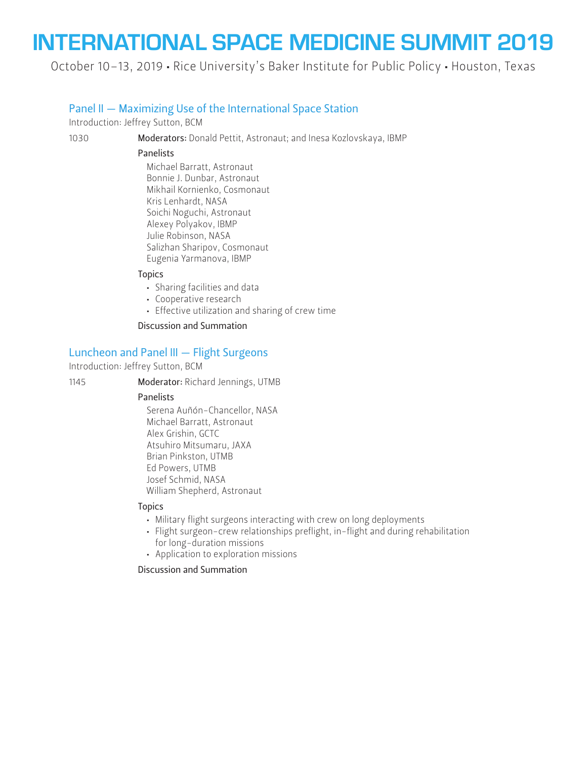October 10–13, 2019 • Rice University's Baker Institute for Public Policy • Houston, Texas

### Panel II — Maximizing Use of the International Space Station

Introduction: Jeffrey Sutton, BCM

1030 Moderators: Donald Pettit, Astronaut; and Inesa Kozlovskaya, IBMP

#### Panelists

Michael Barratt, Astronaut Bonnie J. Dunbar, Astronaut Mikhail Kornienko, Cosmonaut Kris Lenhardt, NASA Soichi Noguchi, Astronaut Alexey Polyakov, IBMP Julie Robinson, NASA Salizhan Sharipov, Cosmonaut Eugenia Yarmanova, IBMP

### **Topics**

- Sharing facilities and data
- Cooperative research
- Effective utilization and sharing of crew time

#### Discussion and Summation

### Luncheon and Panel III — Flight Surgeons

Introduction: Jeffrey Sutton, BCM

1145 Moderator: Richard Jennings, UTMB

### Panelists

Serena Auñón-Chancellor, NASA Michael Barratt, Astronaut Alex Grishin, GCTC Atsuhiro Mitsumaru, JAXA Brian Pinkston, UTMB Ed Powers, UTMB Josef Schmid, NASA William Shepherd, Astronaut

#### **Topics**

- Military flight surgeons interacting with crew on long deployments
- Flight surgeon-crew relationships preflight, in-flight and during rehabilitation for long-duration missions
- Application to exploration missions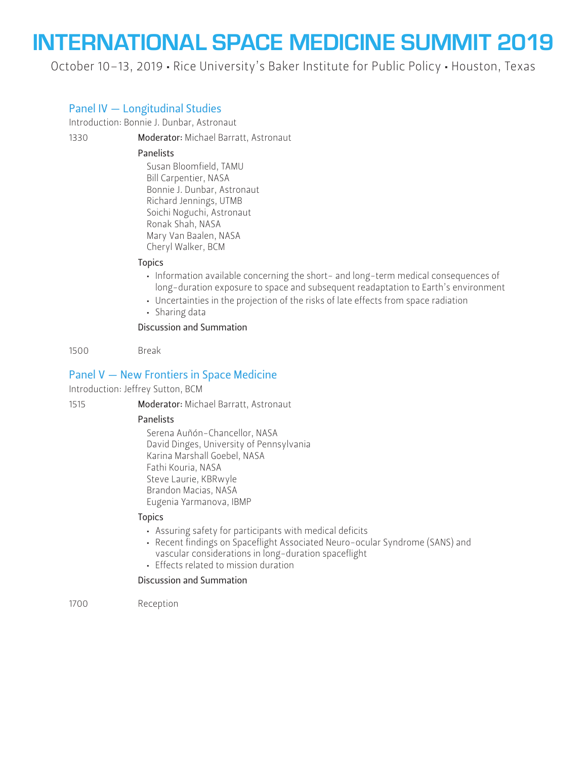October 10–13, 2019 • Rice University's Baker Institute for Public Policy • Houston, Texas

## Panel IV — Longitudinal Studies

Introduction: Bonnie J. Dunbar, Astronaut

1330 Moderator: Michael Barratt, Astronaut

#### Panelists

Susan Bloomfield, TAMU Bill Carpentier, NASA Bonnie J. Dunbar, Astronaut Richard Jennings, UTMB Soichi Noguchi, Astronaut Ronak Shah, NASA Mary Van Baalen, NASA Cheryl Walker, BCM

### **Topics**

- Information available concerning the short- and long-term medical consequences of long-duration exposure to space and subsequent readaptation to Earth's environment
- Uncertainties in the projection of the risks of late effects from space radiation
- Sharing data

### Discussion and Summation

1500 Break

### Panel V — New Frontiers in Space Medicine

Introduction: Jeffrey Sutton, BCM

1515 Moderator: Michael Barratt, Astronaut

### Panelists

 Serena Auñón-Chancellor, NASA David Dinges, University of Pennsylvania Karina Marshall Goebel, NASA Fathi Kouria, NASA Steve Laurie, KBRwyle Brandon Macias, NASA Eugenia Yarmanova, IBMP

### **Topics**

- Assuring safety for participants with medical deficits
- Recent findings on Spaceflight Associated Neuro-ocular Syndrome (SANS) and vascular considerations in long-duration spaceflight
- Effects related to mission duration

### Discussion and Summation

1700 Reception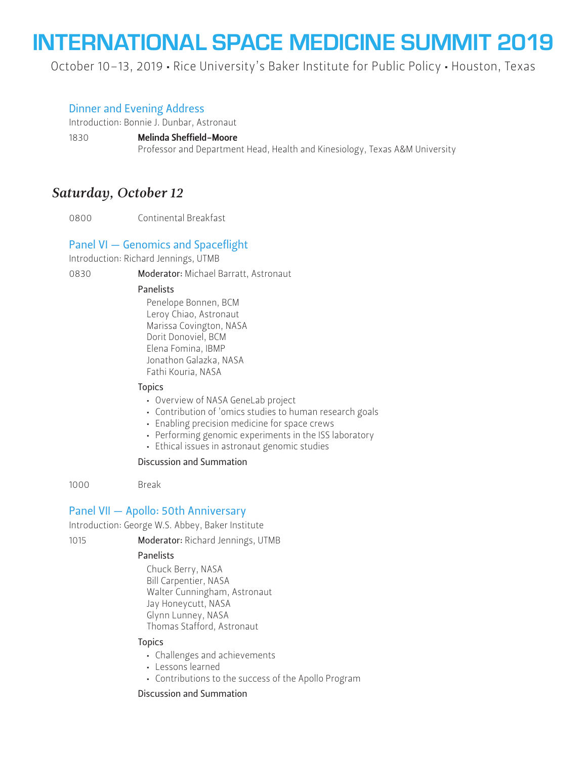October 10–13, 2019 • Rice University's Baker Institute for Public Policy • Houston, Texas

### Dinner and Evening Address

Introduction: Bonnie J. Dunbar, Astronaut

1830 Melinda Sheffield-Moore

Professor and Department Head, Health and Kinesiology, Texas A&M University

# *Saturday, October 12*

0800 Continental Breakfast

## Panel VI — Genomics and Spaceflight

Introduction: Richard Jennings, UTMB

0830 **Moderator:** Michael Barratt, Astronaut

### Panelists

Penelope Bonnen, BCM Leroy Chiao, Astronaut Marissa Covington, NASA Dorit Donoviel, BCM Elena Fomina, IBMP Jonathon Galazka, NASA Fathi Kouria, NASA

### **Topics**

- Overview of NASA GeneLab project
- Contribution of 'omics studies to human research goals
- Enabling precision medicine for space crews
- Performing genomic experiments in the ISS laboratory
- Ethical issues in astronaut genomic studies

### Discussion and Summation

1000 Break

### Panel VII — Apollo: 50th Anniversary

Introduction: George W.S. Abbey, Baker Institute

1015 **Moderator: Richard Jennings, UTMB** 

### Panelists

Chuck Berry, NASA Bill Carpentier, NASA Walter Cunningham, Astronaut Jay Honeycutt, NASA Glynn Lunney, NASA Thomas Stafford, Astronaut

### **Topics**

- Challenges and achievements
- Lessons learned
- Contributions to the success of the Apollo Program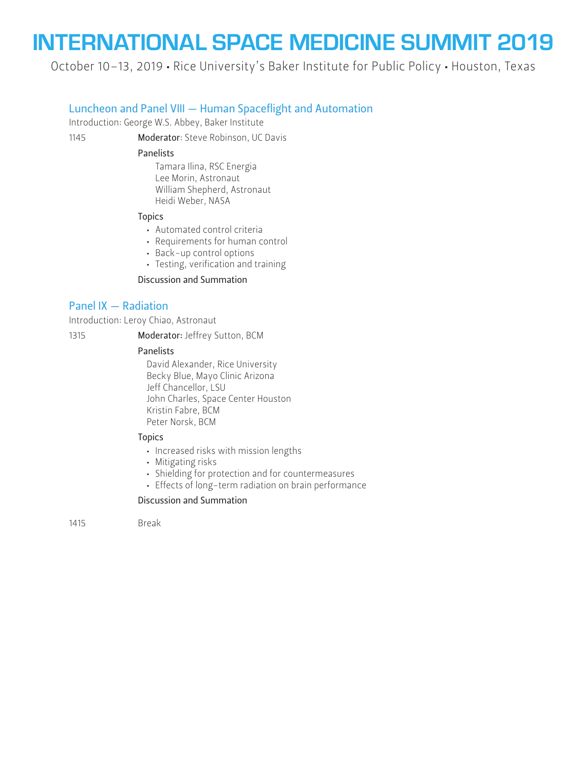October 10–13, 2019 • Rice University's Baker Institute for Public Policy • Houston, Texas

### Luncheon and Panel VIII — Human Spaceflight and Automation

Introduction: George W.S. Abbey, Baker Institute

1145 **Moderator**: Steve Robinson, UC Davis

#### Panelists

Tamara Ilina, RSC Energia Lee Morin, Astronaut William Shepherd, Astronaut Heidi Weber, NASA

#### Topics

- Automated control criteria
- Requirements for human control
- Back-up control options
- Testing, verification and training

### Discussion and Summation

### Panel IX — Radiation

Introduction: Leroy Chiao, Astronaut

1315 **Moderator:** Jeffrey Sutton, BCM

### **Panelists**

David Alexander, Rice University Becky Blue, Mayo Clinic Arizona Jeff Chancellor, LSU John Charles, Space Center Houston Kristin Fabre, BCM Peter Norsk, BCM

### **Topics**

- Increased risks with mission lengths
- Mitigating risks
- Shielding for protection and for countermeasures
- Effects of long-term radiation on brain performance

#### Discussion and Summation

1415 Break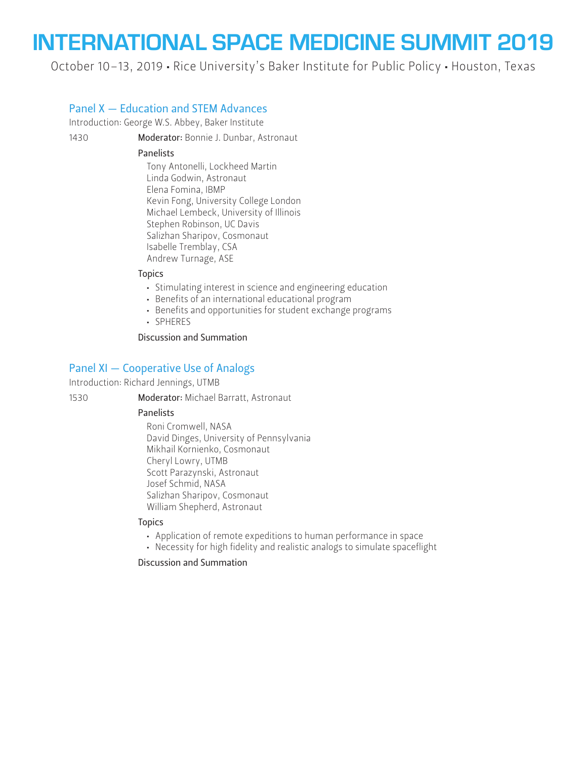October 10–13, 2019 • Rice University's Baker Institute for Public Policy • Houston, Texas

## Panel X — Education and STEM Advances

Introduction: George W.S. Abbey, Baker Institute

1430 Moderator: Bonnie J. Dunbar, Astronaut

### Panelists

Tony Antonelli, Lockheed Martin Linda Godwin, Astronaut Elena Fomina, IBMP Kevin Fong, University College London Michael Lembeck, University of Illinois Stephen Robinson, UC Davis Salizhan Sharipov, Cosmonaut Isabelle Tremblay, CSA Andrew Turnage, ASE

### **Topics**

- Stimulating interest in science and engineering education
- Benefits of an international educational program
- Benefits and opportunities for student exchange programs
- SPHERES

Discussion and Summation

# Panel XI — Cooperative Use of Analogs

Introduction: Richard Jennings, UTMB

1530 Moderator: Michael Barratt, Astronaut

### Panelists

Roni Cromwell, NASA David Dinges, University of Pennsylvania Mikhail Kornienko, Cosmonaut Cheryl Lowry, UTMB Scott Parazynski, Astronaut Josef Schmid, NASA Salizhan Sharipov, Cosmonaut William Shepherd, Astronaut

### Topics

- Application of remote expeditions to human performance in space
- Necessity for high fidelity and realistic analogs to simulate spaceflight